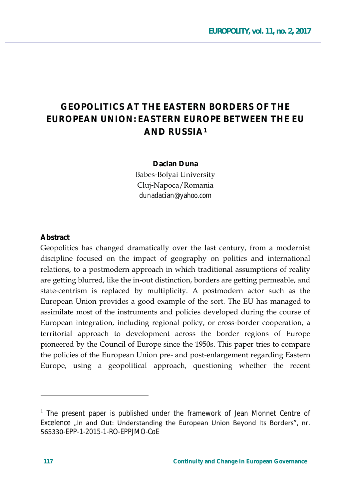# **GEOPOLITICS AT THE EASTERN BORDERS OF THE FUROPEAN UNION: FASTERN FUROPE BETWEEN THE FU AND RUSSIA1**

#### Dacian Duna

Babes-Bolyai University Cluj-Napoca/Romania dunadacian@yahoo.com

#### Abstract

Geopolitics has changed dramatically over the last century, from a modernist discipline focused on the impact of geography on politics and international relations, to a postmodern approach in which traditional assumptions of reality are getting blurred, like the in-out distinction, borders are getting permeable, and state-centrism is replaced by multiplicity. A postmodern actor such as the European Union provides a good example of the sort. The EU has managed to assimilate most of the instruments and policies developed during the course of European integration, including regional policy, or cross-border cooperation, a territorial approach to development across the border regions of Europe pioneered by the Council of Europe since the 1950s. This paper tries to compare the policies of the European Union pre- and post-enlargement regarding Eastern Europe, using a geopolitical approach, questioning whether the recent

<sup>&</sup>lt;sup>1</sup> The present paper is published under the framework of Jean Monnet Centre of Excelence "In and Out: Understanding the European Union Beyond Its Borders", nr. 565330-EPP-1-2015-1-RO-EPPJMO-CoE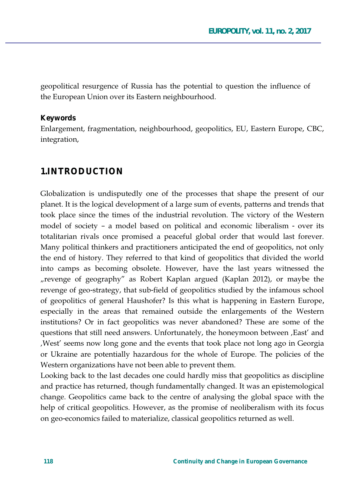geopolitical resurgence of Russia has the potential to question the influence of the European Union over its Eastern neighbourhood.

#### **Keywords**

Enlargement, fragmentation, neighbourhood, geopolitics, EU, Eastern Europe, CBC, integration,

### **1.INTRODUCTION**

Globalization is undisputedly one of the processes that shape the present of our planet. It is the logical development of a large sum of events, patterns and trends that took place since the times of the industrial revolution. The victory of the Western model of society – a model based on political and economic liberalism - over its totalitarian rivals once promised a peaceful global order that would last forever. Many political thinkers and practitioners anticipated the end of geopolitics, not only the end of history. They referred to that kind of geopolitics that divided the world into camps as becoming obsolete. However, have the last years witnessed the "revenge of geography" as Robert Kaplan argued (Kaplan 2012), or maybe the revenge of geo-strategy, that sub-field of geopolitics studied by the infamous school of geopolitics of general Haushofer? Is this what is happening in Eastern Europe, especially in the areas that remained outside the enlargements of the Western institutions? Or in fact geopolitics was never abandoned? These are some of the questions that still need answers. Unfortunately, the honeymoon between , East' and West' seems now long gone and the events that took place not long ago in Georgia or Ukraine are potentially hazardous for the whole of Europe. The policies of the Western organizations have not been able to prevent them.

Looking back to the last decades one could hardly miss that geopolitics as discipline and practice has returned, though fundamentally changed. It was an epistemological change. Geopolitics came back to the centre of analysing the global space with the help of critical geopolitics. However, as the promise of neoliberalism with its focus on geo-economics failed to materialize, classical geopolitics returned as well.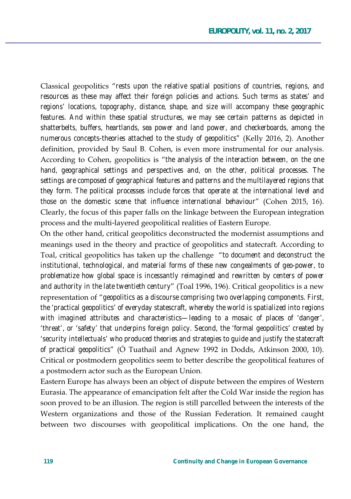Classical geopolitics "rests upon the relative spatial positions of countries, regions, and *resources as these may affect their foreign policies and actions. Such terms as states' and regions' locations, topography, distance, shape, and size will accompany these geographic features. And within these spatial structures, we may see certain patterns as depicted in shatterbelts, buffers, heartlands, sea power and land power, and checkerboards, among the numerous concepts-theories attached to the study of geopolitics"* (Kelly 2016, 2). Another definition, provided by Saul B. Cohen, is even more instrumental for our analysis. According to Cohen, geopolitics is "the analysis of the interaction between, on the one *hand, geographical settings and perspectives and, on the other, political processes. The settings are composed of geographical features and patterns and the multilayered regions that they form. The political processes include forces that operate at the international level and those on the domestic scene that influence international behaviour*" (Cohen 2015, 16). Clearly, the focus of this paper falls on the linkage between the European integration process and the multi-layered geopolitical realities of Eastern Europe.

On the other hand, critical geopolitics deconstructed the modernist assumptions and meanings used in the theory and practice of geopolitics and statecraft. According to Toal, critical geopolitics has taken up the challenge " to document and deconstruct the *institutional, technological, and material forms of these new congealments of geo-power, to problematize how global space is incessantly reimagined and rewritten by centers of power*  and authority in the late twentieth century" (Toal 1996, 196). Critical geopolitics is a new representation of "*qeopolitics as a discourse comprising two overlapping components. First, the 'practical geopolitics' of everyday statescraft, whereby the world is spatialized into regions with imagined attributes and characteristics—leading to a mosaic of places of 'danger', 'threat', or 'safety' that underpins foreign policy. Second, the 'formal geopolitics' created by 'security intellectuals' who produced theories and strategies to guide and justify the statecraft of practical geopolitics*" (O Tuathail and Agnew 1992 in Dodds, Atkinson 2000, 10). Critical or postmodern geopolitics seem to better describe the geopolitical features of a postmodern actor such as the European Union.

Eastern Europe has always been an object of dispute between the empires of Western Eurasia. The appearance of emancipation felt after the Cold War inside the region has soon proved to be an illusion. The region is still parcelled between the interests of the Western organizations and those of the Russian Federation. It remained caught between two discourses with geopolitical implications. On the one hand, the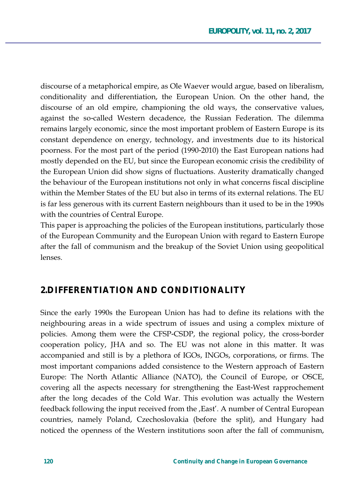discourse of a metaphorical empire, as Ole Waever would argue, based on liberalism, conditionality and differentiation, the European Union. On the other hand, the discourse of an old empire, championing the old ways, the conservative values, against the so-called Western decadence, the Russian Federation. The dilemma remains largely economic, since the most important problem of Eastern Europe is its constant dependence on energy, technology, and investments due to its historical poorness. For the most part of the period (1990-2010) the East European nations had mostly depended on the EU, but since the European economic crisis the credibility of the European Union did show signs of fluctuations. Austerity dramatically changed the behaviour of the European institutions not only in what concerns fiscal discipline within the Member States of the EU but also in terms of its external relations. The EU is far less generous with its current Eastern neighbours than it used to be in the 1990s with the countries of Central Europe.

This paper is approaching the policies of the European institutions, particularly those of the European Community and the European Union with regard to Eastern Europe after the fall of communism and the breakup of the Soviet Union using geopolitical lenses.

### **2.DIFFERENTIATION AND CONDITIONALITY**

Since the early 1990s the European Union has had to define its relations with the neighbouring areas in a wide spectrum of issues and using a complex mixture of policies. Among them were the CFSP-CSDP, the regional policy, the cross-border cooperation policy, JHA and so. The EU was not alone in this matter. It was accompanied and still is by a plethora of IGOs, INGOs, corporations, or firms. The most important companions added consistence to the Western approach of Eastern Europe: The North Atlantic Alliance (NATO), the Council of Europe, or OSCE, covering all the aspects necessary for strengthening the East-West rapprochement after the long decades of the Cold War. This evolution was actually the Western feedback following the input received from the , East'. A number of Central European countries, namely Poland, Czechoslovakia (before the split), and Hungary had noticed the openness of the Western institutions soon after the fall of communism,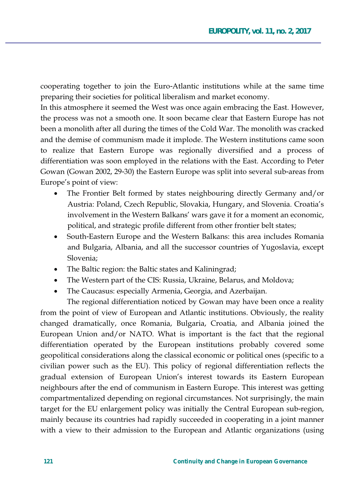cooperating together to join the Euro-Atlantic institutions while at the same time preparing their societies for political liberalism and market economy.

In this atmosphere it seemed the West was once again embracing the East. However, the process was not a smooth one. It soon became clear that Eastern Europe has not been a monolith after all during the times of the Cold War. The monolith was cracked and the demise of communism made it implode. The Western institutions came soon to realize that Eastern Europe was regionally diversified and a process of differentiation was soon employed in the relations with the East. According to Peter Gowan (Gowan 2002, 29-30) the Eastern Europe was split into several sub-areas from Europe's point of view:

- The Frontier Belt formed by states neighbouring directly Germany and/or Austria: Poland, Czech Republic, Slovakia, Hungary, and Slovenia. Croatia's involvement in the Western Balkans' wars gave it for a moment an economic, political, and strategic profile different from other frontier belt states;
- South-Eastern Europe and the Western Balkans: this area includes Romania  $\bullet$ and Bulgaria, Albania, and all the successor countries of Yugoslavia, except Slovenia:
- The Baltic region: the Baltic states and Kaliningrad;
- The Western part of the CIS: Russia, Ukraine, Belarus, and Moldova;
- The Caucasus: especially Armenia, Georgia, and Azerbaijan.

The regional differentiation noticed by Gowan may have been once a reality from the point of view of European and Atlantic institutions. Obviously, the reality changed dramatically, once Romania, Bulgaria, Croatia, and Albania joined the European Union and/or NATO. What is important is the fact that the regional differentiation operated by the European institutions probably covered some geopolitical considerations along the classical economic or political ones (specific to a civilian power such as the EU). This policy of regional differentiation reflects the gradual extension of European Union's interest towards its Eastern European neighbours after the end of communism in Eastern Europe. This interest was getting compartmentalized depending on regional circumstances. Not surprisingly, the main target for the EU enlargement policy was initially the Central European sub-region, mainly because its countries had rapidly succeeded in cooperating in a joint manner with a view to their admission to the European and Atlantic organizations (using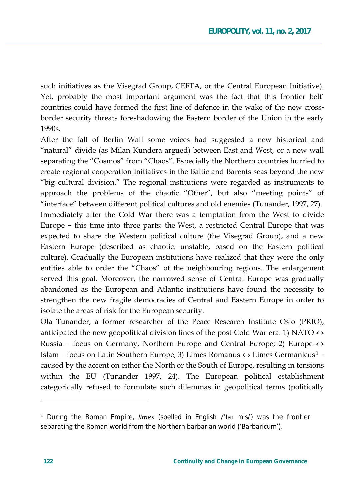such initiatives as the Visegrad Group, CEFTA, or the Central European Initiative). Yet, probably the most important argument was the fact that this frontier belt' countries could have formed the first line of defence in the wake of the new crossborder security threats foreshadowing the Eastern border of the Union in the early 1990s.

After the fall of Berlin Wall some voices had suggested a new historical and "natural" divide (as Milan Kundera argued) between East and West, or a new wall separating the "Cosmos" from "Chaos". Especially the Northern countries hurried to create regional cooperation initiatives in the Baltic and Barents seas beyond the new "big cultural division." The regional institutions were regarded as instruments to approach the problems of the chaotic "Other", but also "meeting points" of "interface" between different political cultures and old enemies (Tunander, 1997, 27). Immediately after the Cold War there was a temptation from the West to divide Europe – this time into three parts: the West, a restricted Central Europe that was expected to share the Western political culture (the Visegrad Group), and a new Eastern Europe (described as chaotic, unstable, based on the Eastern political culture). Gradually the European institutions have realized that they were the only entities able to order the "Chaos" of the neighbouring regions. The enlargement served this goal. Moreover, the narrowed sense of Central Europe was gradually abandoned as the European and Atlantic institutions have found the necessity to strengthen the new fragile democracies of Central and Eastern Europe in order to isolate the areas of risk for the European security.

Ola Tunander, a former researcher of the Peace Research Institute Oslo (PRIO), anticipated the new geopolitical division lines of the post-Cold War era: 1) NATO  $\leftrightarrow$ Russia – focus on Germany, Northern Europe and Central Europe; 2) Europe  $\leftrightarrow$ Islam – focus on Latin Southern Europe; 3) Limes Romanus ↔ Limes Germanicus<sup>1</sup> – caused by the accent on either the North or the South of Europe, resulting in tensions within the EU (Tunander 1997, 24). The European political establishment categorically refused to formulate such dilemmas in geopolitical terms (politically

<sup>&</sup>lt;sup>1</sup> During the Roman Empire, *limes* (spelled in English /'lar mis/) was the frontier separating the Roman world from the Northern barbarian world ('Barbaricum').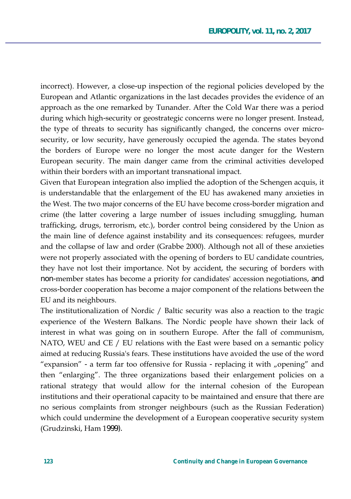incorrect). However, a close-up inspection of the regional policies developed by the European and Atlantic organizations in the last decades provides the evidence of an approach as the one remarked by Tunander. After the Cold War there was a period during which high-security or geostrategic concerns were no longer present. Instead, the type of threats to security has significantly changed, the concerns over microsecurity, or low security, have generously occupied the agenda. The states beyond the borders of Europe were no longer the most acute danger for the Western European security. The main danger came from the criminal activities developed within their borders with an important transnational impact.

Given that European integration also implied the adoption of the Schengen acquis, it is understandable that the enlargement of the EU has awakened many anxieties in the West. The two major concerns of the EU have become cross-border migration and crime (the latter covering a large number of issues including smuggling, human trafficking, drugs, terrorism, etc.), border control being considered by the Union as the main line of defence against instability and its consequences: refugees, murder and the collapse of law and order (Grabbe 2000). Although not all of these anxieties were not properly associated with the opening of borders to EU candidate countries, they have not lost their importance. Not by accident, the securing of borders with non-member states has become a priority for candidates' accession negotiations, and cross-border cooperation has become a major component of the relations between the EU and its neighbours.

The institutionalization of Nordic / Baltic security was also a reaction to the tragic experience of the Western Balkans. The Nordic people have shown their lack of interest in what was going on in southern Europe. After the fall of communism,  $NATO$ , WEU and CE  $/$  EU relations with the East were based on a semantic policy aimed at reducing Russia's fears. These institutions have avoided the use of the word "expansion" - a term far too offensive for Russia - replacing it with "opening" and then "enlarging". The three organizations based their enlargement policies on a rational strategy that would allow for the internal cohesion of the European institutions and their operational capacity to be maintained and ensure that there are no serious complaints from stronger neighbours (such as the Russian Federation) which could undermine the development of a European cooperative security system (Grudzinski, Ham 1999).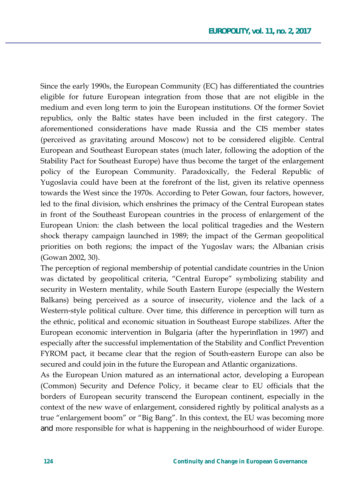Since the early 1990s, the European Community (EC) has differentiated the countries eligible for future European integration from those that are not eligible in the medium and even long term to join the European institutions. Of the former Soviet republics, only the Baltic states have been included in the first category. The aforementioned considerations have made Russia and the CIS member states (perceived as gravitating around Moscow) not to be considered eligible. Central European and Southeast European states (much later, following the adoption of the Stability Pact for Southeast Europe) have thus become the target of the enlargement policy of the European Community. Paradoxically, the Federal Republic of Yugoslavia could have been at the forefront of the list, given its relative openness towards the West since the 1970s. According to Peter Gowan, four factors, however, led to the final division, which enshrines the primacy of the Central European states in front of the Southeast European countries in the process of enlargement of the European Union: the clash between the local political tragedies and the Western shock therapy campaign launched in 1989; the impact of the German geopolitical priorities on both regions; the impact of the Yugoslav wars; the Albanian crisis (Gowan 2002, 30).

The perception of regional membership of potential candidate countries in the Union was dictated by geopolitical criteria, "Central Europe" symbolizing stability and security in Western mentality, while South Eastern Europe (especially the Western Balkans) being perceived as a source of insecurity, violence and the lack of a Western-style political culture. Over time, this difference in perception will turn as the ethnic, political and economic situation in Southeast Europe stabilizes. After the European economic intervention in Bulgaria (after the hyperinflation in 1997) and especially after the successful implementation of the Stability and Conflict Prevention FYROM pact, it became clear that the region of South-eastern Europe can also be secured and could join in the future the European and Atlantic organizations.

As the European Union matured as an international actor, developing a European (Common) Security and Defence Policy, it became clear to EU officials that the borders of European security transcend the European continent, especially in the context of the new wave of enlargement, considered rightly by political analysts as a true "enlargement boom" or "Big Bang". In this context, the EU was becoming more and more responsible for what is happening in the neighbourhood of wider Europe.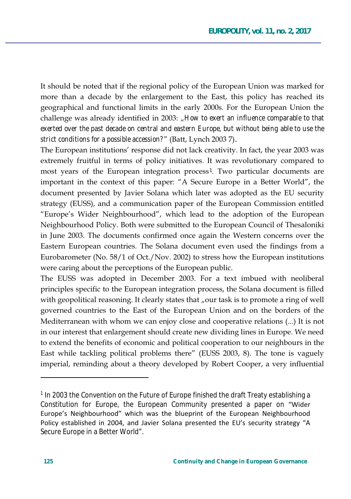It should be noted that if the regional policy of the European Union was marked for more than a decade by the enlargement to the East, this policy has reached its geographical and functional limits in the early 2000s. For the European Union the challenge was already identified in 2003: "How to exert an influence comparable to that *exerted over the past decade on central and eastern Europe, but without being able to use the*  strict conditions for a possible accession?" (Batt, Lynch 2003 7).

The European institutions' response did not lack creativity. In fact, the year 2003 was extremely fruitful in terms of policy initiatives. It was revolutionary compared to most years of the European integration process<sup>1</sup>. Two particular documents are important in the context of this paper: "A Secure Europe in a Better World", the document presented by Javier Solana which later was adopted as the EU security strategy (EUSS), and a communication paper of the European Commission entitled "Europe's Wider Neighbourhood", which lead to the adoption of the European Neighbourhood Policy. Both were submitted to the European Council of Thesaloniki in June 2003. The documents confirmed once again the Western concerns over the Eastern European countries. The Solana document even used the findings from a Eurobarometer (No. 58/1 of Oct./Nov. 2002) to stress how the European institutions were caring about the perceptions of the European public.

The EUSS was adopted in December 2003. For a text imbued with neoliberal principles specific to the European integration process, the Solana document is filled with geopolitical reasoning. It clearly states that "our task is to promote a ring of well governed countries to the East of the European Union and on the borders of the Mediterranean with whom we can enjoy close and cooperative relations  $(...)$  It is not in our interest that enlargement should create new dividing lines in Europe. We need to extend the benefits of economic and political cooperation to our neighbours in the East while tackling political problems there" (EUSS 2003, 8). The tone is vaguely imperial, reminding about a theory developed by Robert Cooper, a very influential

 $\overline{a}$ 

<sup>&</sup>lt;sup>1</sup> In 2003 the Convention on the Future of Europe finished the draft Treaty establishing a Constitution for Europe, the European Community presented a paper on "Wider Europe's Neighbourhood" which was the blueprint of the European Neighbourhood Policy established in 2004, and Javier Solana presented the EU's security strategy "A Secure Europe in a Better World".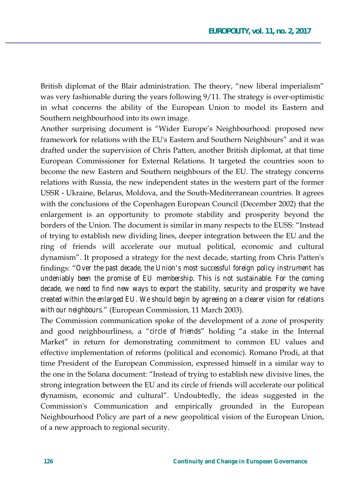British diplomat of the Blair administration. The theory, "new liberal imperialism" was very fashionable during the years following  $9/11$ . The strategy is over-optimistic in what concerns the ability of the European Union to model its Eastern and Southern neighbourhood into its own image.

Another surprising document is "Wider Europe's Neighbourhood: proposed new framework for relations with the EU's Eastern and Southern Neighbours" and it was drafted under the supervision of Chris Patten, another British diplomat, at that time European Commissioner for External Relations. It targeted the countries soon to become the new Eastern and Southern neighbours of the EU. The strategy concerns relations with Russia, the new independent states in the western part of the former USSR - Ukraine, Belarus, Moldova, and the South-Mediterranean countries. It agrees with the conclusions of the Copenhagen European Council (December 2002) that the enlargement is an opportunity to promote stability and prosperity beyond the borders of the Union. The document is similar in many respects to the EUSS: "Instead of trying to establish new dividing lines, deeper integration between the EU and the ring of friends will accelerate our mutual political, economic and cultural dynamism". It proposed a strategy for the next decade, starting from Chris Patten's findings: "Over the past decade, the Union's most successful foreign policy instrument has *undeniably been the promise of EU membership. This is not sustainable. For the coming*  decade, we need to find new ways to export the stability, security and prosperity we have *created within the enlarged EU. We should begin by agreeing on a clearer vision for relations with our neighbours.*" (European Commission, 11 March 2003).

The Commission communication spoke of the development of a zone of prosperity and good neighbourliness, a "circle of friends" holding "a stake in the Internal Market" in return for demonstrating commitment to common EU values and effective implementation of reforms (political and economic). Romano Prodi, at that time President of the European Commission, expressed himself in a similar way to the one in the Solana document: "Instead of trying to establish new divisive lines, the strong integration between the EU and its circle of friends will accelerate our political dynamism, economic and cultural". Undoubtedly, the ideas suggested in the Commission's Communication and empirically grounded in the European Neighbourhood Policy are part of a new geopolitical vision of the European Union, of a new approach to regional security.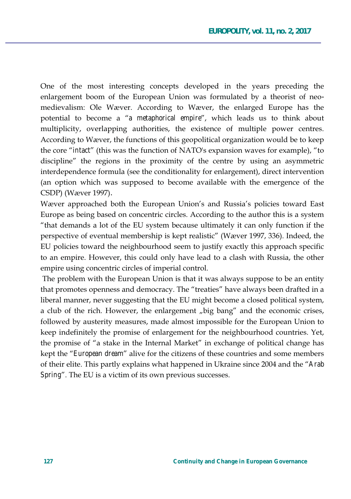One of the most interesting concepts developed in the years preceding the enlargement boom of the European Union was formulated by a theorist of neomedievalism: Ole Wæver. According to Wæver, the enlarged Europe has the potential to become a "a metaphorical empire", which leads us to think about multiplicity, overlapping authorities, the existence of multiple power centres. According to Wæver, the functions of this geopolitical organization would be to keep the core "*intact*" (this was the function of NATO's expansion waves for example), "to discipline" the regions in the proximity of the centre by using an asymmetric interdependence formula (see the conditionality for enlargement), direct intervention (an option which was supposed to become available with the emergence of the CSDP) (Wæver 1997).

Wæver approached both the European Union's and Russia's policies toward East Europe as being based on concentric circles. According to the author this is a system "that demands a lot of the EU system because ultimately it can only function if the perspective of eventual membership is kept realistic" (Wæver 1997, 336). Indeed, the EU policies toward the neighbourhood seem to justify exactly this approach specific to an empire. However, this could only have lead to a clash with Russia, the other empire using concentric circles of imperial control.

The problem with the European Union is that it was always suppose to be an entity that promotes openness and democracy. The "treaties" have always been drafted in a liberal manner, never suggesting that the EU might become a closed political system, a club of the rich. However, the enlargement "big bang" and the economic crises, followed by austerity measures, made almost impossible for the European Union to keep indefinitely the promise of enlargement for the neighbourhood countries. Yet, the promise of "a stake in the Internal Market" in exchange of political change has kept the "European dream" alive for the citizens of these countries and some members of their elite. This partly explains what happened in Ukraine since 2004 and the "Arab" *Spring*". The EU is a victim of its own previous successes.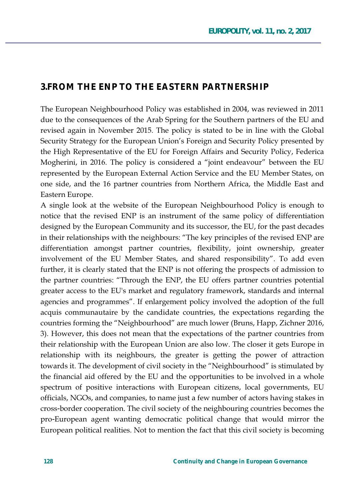### **3.FROM THE ENP TO THE EASTERN PARTNERSHIP**

The European Neighbourhood Policy was established in 2004, was reviewed in 2011 due to the consequences of the Arab Spring for the Southern partners of the EU and revised again in November 2015. The policy is stated to be in line with the Global Security Strategy for the European Union's Foreign and Security Policy presented by the High Representative of the EU for Foreign Affairs and Security Policy, Federica Mogherini, in 2016. The policy is considered a "joint endeavour" between the EU represented by the European External Action Service and the EU Member States, on one side, and the 16 partner countries from Northern Africa, the Middle East and Eastern Europe.

A single look at the website of the European Neighbourhood Policy is enough to notice that the revised ENP is an instrument of the same policy of differentiation designed by the European Community and its successor, the EU, for the past decades in their relationships with the neighbours: "The key principles of the revised ENP are differentiation amongst partner countries, flexibility, joint ownership, greater involvement of the EU Member States, and shared responsibility". To add even further, it is clearly stated that the ENP is not offering the prospects of admission to the partner countries: "Through the ENP, the EU offers partner countries potential greater access to the EU's market and regulatory framework, standards and internal agencies and programmes". If enlargement policy involved the adoption of the full acquis communautaire by the candidate countries, the expectations regarding the countries forming the "Neighbourhood" are much lower (Bruns, Happ, Zichner 2016, 3). However, this does not mean that the expectations of the partner countries from their relationship with the European Union are also low. The closer it gets Europe in relationship with its neighbours, the greater is getting the power of attraction towards it. The development of civil society in the "Neighbourhood" is stimulated by the financial aid offered by the EU and the opportunities to be involved in a whole spectrum of positive interactions with European citizens, local governments, EU officials, NGOs, and companies, to name just a few number of actors having stakes in cross-border cooperation. The civil society of the neighbouring countries becomes the pro-European agent wanting democratic political change that would mirror the European political realities. Not to mention the fact that this civil society is becoming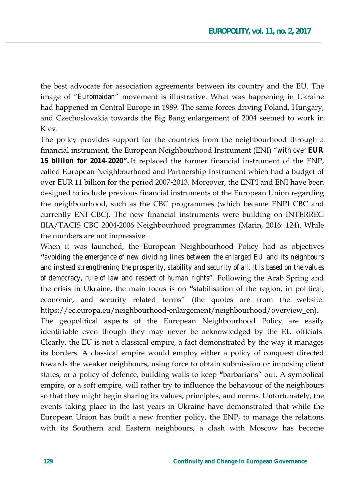the best advocate for association agreements between its country and the EU. The image of "*Euromaidan*" movement is illustrative. What was happening in Ukraine had happened in Central Europe in 1989. The same forces driving Poland, Hungary, and Czechoslovakia towards the Big Bang enlargement of 2004 seemed to work in Kiev.

The policy provides support for the countries from the neighbourhood through a financial instrument, the European Neighbourhood Instrument (ENI) "with over **EUR** *15 billion for 2014-2020"*. It replaced the former financial instrument of the ENP, called European Neighbourhood and Partnership Instrument which had a budget of over EUR 11 billion for the period 2007-2013. Moreover, the ENPI and ENI have been designed to include previous financial instruments of the European Union regarding the neighbourhood, such as the CBC programmes (which became ENPI CBC and currently ENI CBC). The new financial instruments were building on INTERREG IIIA/TACIS CBC 2004-2006 Neighbourhood programmes (Marin, 2016: 124). While the numbers are not impressive

When it was launched, the European Neighbourhood Policy had as objectives **"***avoiding the emergence of new dividing lines between the enlarged EU and its neighbours and instead strengthening the prosperity, stability and security of all. It is based on the values of democracy, rule of law and respect of human rights*". Following the Arab Spring and the crisis in Ukraine, the main focus is on "stabilisation of the region, in political, economic, and security related terms" (the quotes are from the website: https://ec.europa.eu/neighbourhood-enlargement/neighbourhood/overview\_en).

The geopolitical aspects of the European Neighbourhood Policy are easily identifiable even though they may never be acknowledged by the EU officials. Clearly, the EU is not a classical empire, a fact demonstrated by the way it manages its borders. A classical empire would employ either a policy of conquest directed towards the weaker neighbours, using force to obtain submission or imposing client states, or a policy of defence, building walls to keep "barbarians" out. A symbolical empire, or a soft empire, will rather try to influence the behaviour of the neighbours so that they might begin sharing its values, principles, and norms. Unfortunately, the events taking place in the last years in Ukraine have demonstrated that while the European Union has built a new frontier policy, the ENP, to manage the relations with its Southern and Eastern neighbours, a clash with Moscow has become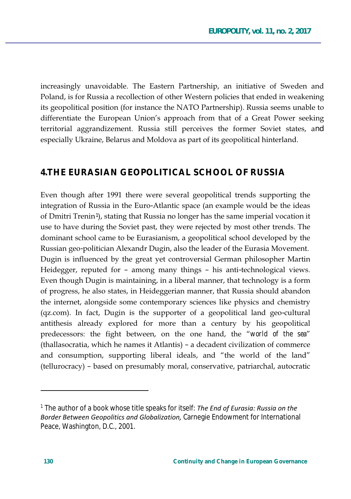increasingly unavoidable. The Eastern Partnership, an initiative of Sweden and Poland, is for Russia a recollection of other Western policies that ended in weakening its geopolitical position (for instance the NATO Partnership). Russia seems unable to differentiate the European Union's approach from that of a Great Power seeking territorial aggrandizement. Russia still perceives the former Soviet states, and especially Ukraine, Belarus and Moldova as part of its geopolitical hinterland.

### 4. THE EURASIAN GEOPOLITICAL SCHOOL OF RUSSIA

Even though after 1991 there were several geopolitical trends supporting the integration of Russia in the Euro-Atlantic space (an example would be the ideas of Dmitri Trenin<sup>1</sup>), stating that Russia no longer has the same imperial vocation it use to have during the Soviet past, they were rejected by most other trends. The dominant school came to be Eurasianism, a geopolitical school developed by the Russian geo-politician Alexandr Dugin, also the leader of the Eurasia Movement. Dugin is influenced by the great yet controversial German philosopher Martin Heidegger, reputed for - among many things - his anti-technological views. Even though Dugin is maintaining, in a liberal manner, that technology is a form of progress, he also states, in Heideggerian manner, that Russia should abandon the internet, alongside some contemporary sciences like physics and chemistry (qz.com). In fact, Dugin is the supporter of a geopolitical land geo-cultural antithesis already explored for more than a century by his geopolitical predecessors: the fight between, on the one hand, the "world of the sea" (thallasocratia, which he names it Atlantis) - a decadent civilization of commerce and consumption, supporting liberal ideals, and "the world of the land" (tellurocracy) - based on presumably moral, conservative, patriarchal, autocratic

<sup>&</sup>lt;sup>1</sup> The author of a book whose title speaks for itself: The End of Eurasia: Russia on the Border Between Geopolitics and Globalization, Carnegie Endowment for International Peace, Washington, D.C., 2001.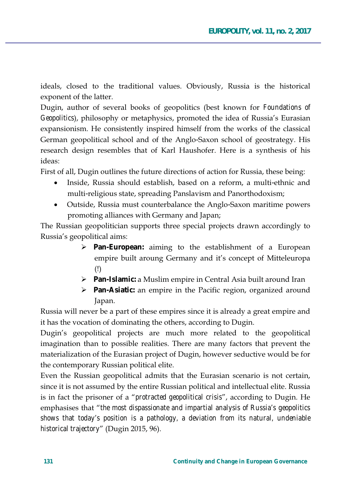ideals, closed to the traditional values. Obviously, Russia is the historical exponent of the latter.

Dugin, author of several books of geopolitics (best known for *Foundations of* Geopolitics), philosophy or metaphysics, promoted the idea of Russia's Eurasian expansionism. He consistently inspired himself from the works of the classical German geopolitical school and of the Anglo-Saxon school of geostrategy. His research design resembles that of Karl Haushofer. Here is a synthesis of his ideas:

First of all, Dugin outlines the future directions of action for Russia, these being:

- Inside, Russia should establish, based on a reform, a multi-ethnic and multi-religious state, spreading Panslavism and Panorthodoxism;
- Outside, Russia must counterbalance the Anglo-Saxon maritime powers promoting alliances with Germany and Japan;

The Russian geopolitician supports three special projects drawn accordingly to Russia's geopolitical aims:

- $\triangleright$  Pan-European: aiming to the establishment of a European empire built aroung Germany and it's concept of Mitteleuropa  $(!)$
- > Pan-Islamic: a Muslim empire in Central Asia built around Iran
- > Pan-Asiatic: an empire in the Pacific region, organized around Japan.

Russia will never be a part of these empires since it is already a great empire and it has the vocation of dominating the others, according to Dugin.

Dugin's geopolitical projects are much more related to the geopolitical imagination than to possible realities. There are many factors that prevent the materialization of the Eurasian project of Dugin, however seductive would be for the contemporary Russian political elite.

Even the Russian geopolitical admits that the Eurasian scenario is not certain, since it is not assumed by the entire Russian political and intellectual elite. Russia is in fact the prisoner of a "protracted geopolitical crisis", according to Dugin. He emphasises that "the most dispassionate and impartial analysis of Russia's geopolitics shows that today's position is a pathology, a deviation from its natural, undeniable historical trajectory" (Dugin 2015, 96).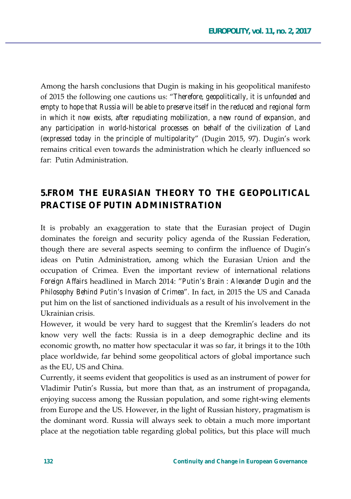Among the harsh conclusions that Dugin is making in his geopolitical manifesto of 2015 the following one cautions us: "Therefore, geopolitically, it is unfounded and *empty to hope that Russia will be able to preserve itself in the reduced and regional form in which it now exists, after repudiating mobilization, a new round of expansion, and any participation in world-historical processes on behalf of the civilization of Land (expressed today in the principle of multipolarity'* (Dugin 2015, 97). Dugin's work remains critical even towards the administration which he clearly influenced so far: Putin Administration.

## **5.FROM THE EURASIAN THEORY TO THE GEOPOLITICAL PRACTISE OF PUTIN ADMINISTRATION**

It is probably an exaggeration to state that the Eurasian project of Dugin dominates the foreign and security policy agenda of the Russian Federation, though there are several aspects seeming to confirm the influence of Dugin's ideas on Putin Administration, among which the Eurasian Union and the occupation of Crimea. Even the important review of international relations *Foreign Affairs* headlined in March 2014: "Putin's Brain : Alexander Dugin and the *Philosophy Behind Putin's Invasion of Crimea*". In fact, in 2015 the US and Canada put him on the list of sanctioned individuals as a result of his involvement in the Ukrainian crisis.

However, it would be very hard to suggest that the Kremlin's leaders do not know very well the facts: Russia is in a deep demographic decline and its economic growth, no matter how spectacular it was so far, it brings it to the 10th place worldwide, far behind some geopolitical actors of global importance such as the EU, US and China.

Currently, it seems evident that geopolitics is used as an instrument of power for Vladimir Putin's Russia, but more than that, as an instrument of propaganda, enjoying success among the Russian population, and some right-wing elements from Europe and the US. However, in the light of Russian history, pragmatism is the dominant word. Russia will always seek to obtain a much more important place at the negotiation table regarding global politics, but this place will much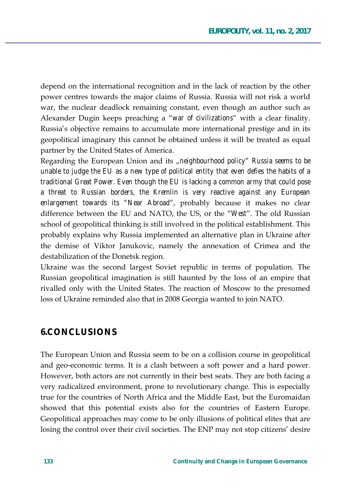depend on the international recognition and in the lack of reaction by the other power centres towards the major claims of Russia. Russia will not risk a world war, the nuclear deadlock remaining constant, even though an author such as Alexander Dugin keeps preaching a *"war of civilizations"* with a clear finality. Russia's objective remains to accumulate more international prestige and in its geopolitical imaginary this cannot be obtained unless it will be treated as equal partner by the United States of America.

Regarding the European Union and its "neighbourhood policy" Russia seems to be *unable to judge the EU as a new type of political entity that even defies the habits of a traditional Great Power. Even though the EU is lacking a common army that could pose a threat to Russian borders, the Kremlin is very reactive against any European enlargement towards its "Near Abroad"*, probably because it makes no clear difference between the EU and NATO, the US, or the "West". The old Russian school of geopolitical thinking is still involved in the political establishment. This probably explains why Russia implemented an alternative plan in Ukraine after the demise of Viktor Janukovic, namely the annexation of Crimea and the destabilization of the Donetsk region.

Ukraine was the second largest Soviet republic in terms of population. The Russian geopolitical imagination is still haunted by the loss of an empire that rivalled only with the United States. The reaction of Moscow to the presumed loss of Ukraine reminded also that in 2008 Georgia wanted to join NATO.

### **6.CONCLUSIONS**

The European Union and Russia seem to be on a collision course in geopolitical and geo-economic terms. It is a clash between a soft power and a hard power. However, both actors are not currently in their best seats. They are both facing a very radicalized environment, prone to revolutionary change. This is especially true for the countries of North Africa and the Middle East, but the Euromaidan showed that this potential exists also for the countries of Eastern Europe. Geopolitical approaches may come to be only illusions of political elites that are losing the control over their civil societies. The ENP may not stop citizens' desire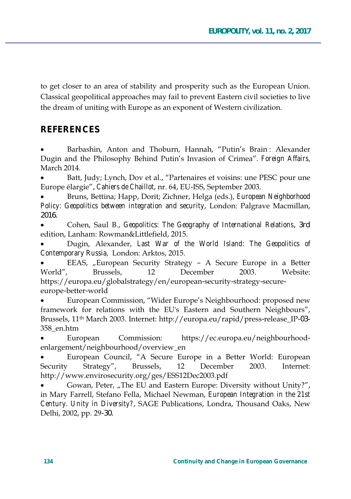to get closer to an area of stability and prosperity such as the European Union. Classical geopolitical approaches may fail to prevent Eastern civil societies to live the dream of uniting with Europe as an exponent of Western civilization.

## **REFERENCES**

Barbashin, Anton and Thoburn, Hannah, "Putin's Brain: Alexander Dugin and the Philosophy Behind Putin's Invasion of Crimea". *Foreign Affairs*, March 2014.

Batt, Judy; Lynch, Dov et al., "Partenaires et voisins: une PESC pour une Europe élargie", *Cahiers de Chaillot*, nr. 64, EU-ISS, September 2003.

Bruns, Bettina; Happ, Dorit; Zichner, Helga (eds.), *European Neighborhood* Policy: Geopolitics between integration and security, London: Palgrave Macmillan, 2016.

Cohen, Saul B., Geopolitics: The Geography of International Relations, 3rd edition, Lanham: Rowman&Littlefield, 2015.

Dugin, Alexander, Last War of the World Island: The Geopolitics of *Contemporary Russia*, London: Arktos, 2015.

EEAS, "European Security Strategy –  $A$  Secure Europe in a Better World", Brussels, 12 December 2003. Website: https://europa.eu/globalstrategy/en/european-security-strategy-secureeurope-better-world

European Commission, "Wider Europe's Neighbourhood: proposed new framework for relations with the EU's Eastern and Southern Neighbours", Brussels, 11<sup>th</sup> March 2003. Internet: http://europa.eu/rapid/press-release\_IP-03- $358$  en.htm

European Commission: https://ec.europa.eu/neighbourhoodenlargement/neighbourhood/overview\_en

European Council, "A Secure Europe in a Better World: European Security Strategy", Brussels, 12 December 2003. Internet: http://www.envirosecurity.org/ges/ESS12Dec2003.pdf

Gowan, Peter, "The EU and Eastern Europe: Diversity without Unity?", in Mary Farrell, Stefano Fella, Michael Newman, European Integration in the 21st *Century. Unity in Diversity?*, SAGE Publications, Londra, Thousand Oaks, New Delhi, 2002, pp. 29-30.